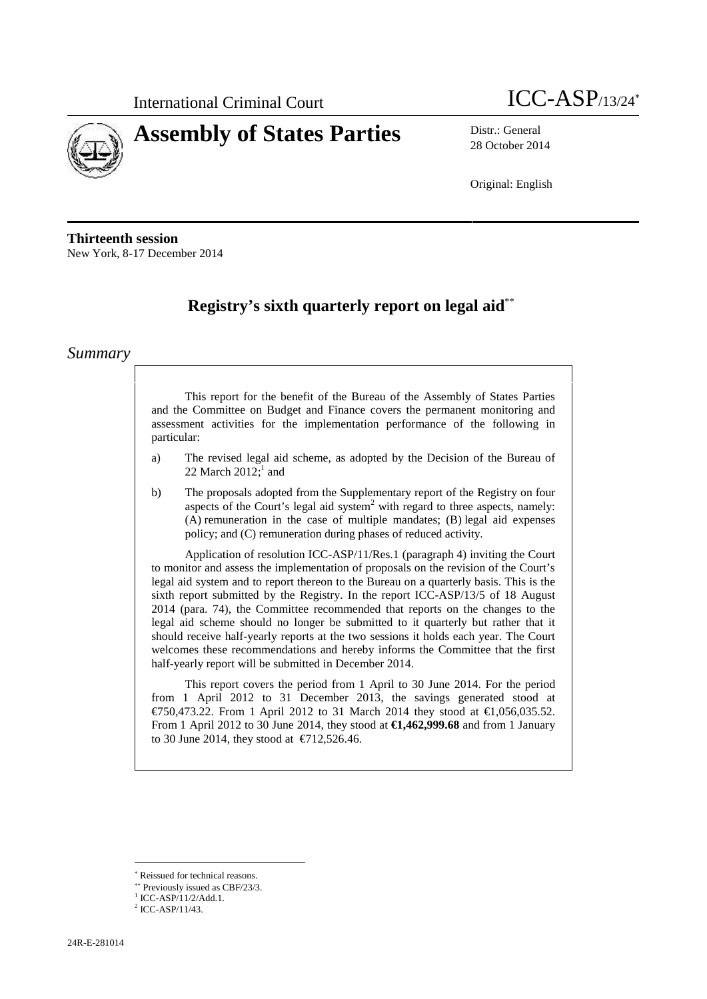



28 October 2014

Original: English

**Thirteenth session** New York, 8-17 December 2014

# **Registry's sixth quarterly report on legal aid**\*\*

### *Summary*

This report for the benefit of the Bureau of the Assembly of States Parties and the Committee on Budget and Finance covers the permanent monitoring and assessment activities for the implementation performance of the following in particular:

- a) The revised legal aid scheme, as adopted by the Decision of the Bureau of 22 March  $2012;^1$  and
- b) The proposals adopted from the Supplementary report of the Registry on four aspects of the Court's legal aid system<sup>2</sup> with regard to three aspects, namely: (A) remuneration in the case of multiple mandates; (B) legal aid expenses policy; and (C) remuneration during phases of reduced activity.

Application of resolution ICC-ASP/11/Res.1 (paragraph 4) inviting the Court to monitor and assess the implementation of proposals on the revision of the Court's legal aid system and to report thereon to the Bureau on a quarterly basis. This is the sixth report submitted by the Registry. In the report ICC-ASP/13/5 of 18 August 2014 (para. 74), the Committee recommended that reports on the changes to the legal aid scheme should no longer be submitted to it quarterly but rather that it should receive half-yearly reports at the two sessions it holds each year. The Court welcomes these recommendations and hereby informs the Committee that the first half-yearly report will be submitted in December 2014.

This report covers the period from 1 April to 30 June 2014. For the period from 1 April 2012 to 31 December 2013, the savings generated stood at €750,473.22. From 1 April 2012 to 31 March 2014 they stood at €1,056,035.52. From 1 April 2012 to 30 June 2014, they stood at **€1,462,999.68** and from 1 January to 30 June 2014, they stood at  $\in$  12,526.46.

Reissued for technical reasons.

Previously issued as CBF/23/3.

 $1$  ICC-ASP/11/2/Add.1.<br> $2$  ICC-ASP/11/43.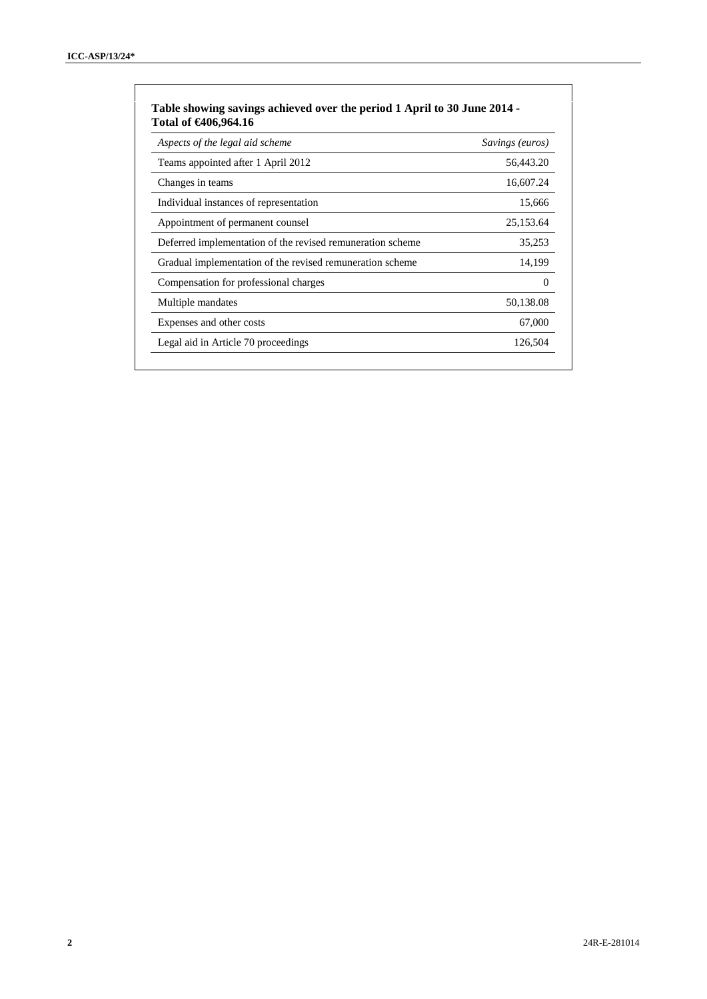| Aspects of the legal aid scheme                            | Savings (euros) |
|------------------------------------------------------------|-----------------|
| Teams appointed after 1 April 2012                         | 56,443.20       |
| Changes in teams                                           | 16,607.24       |
| Individual instances of representation                     | 15,666          |
| Appointment of permanent counsel                           | 25,153.64       |
| Deferred implementation of the revised remuneration scheme | 35,253          |
| Gradual implementation of the revised remuneration scheme  | 14,199          |
| Compensation for professional charges                      | 0               |
| Multiple mandates                                          | 50,138.08       |
| Expenses and other costs                                   | 67,000          |
| Legal aid in Article 70 proceedings                        | 126,504         |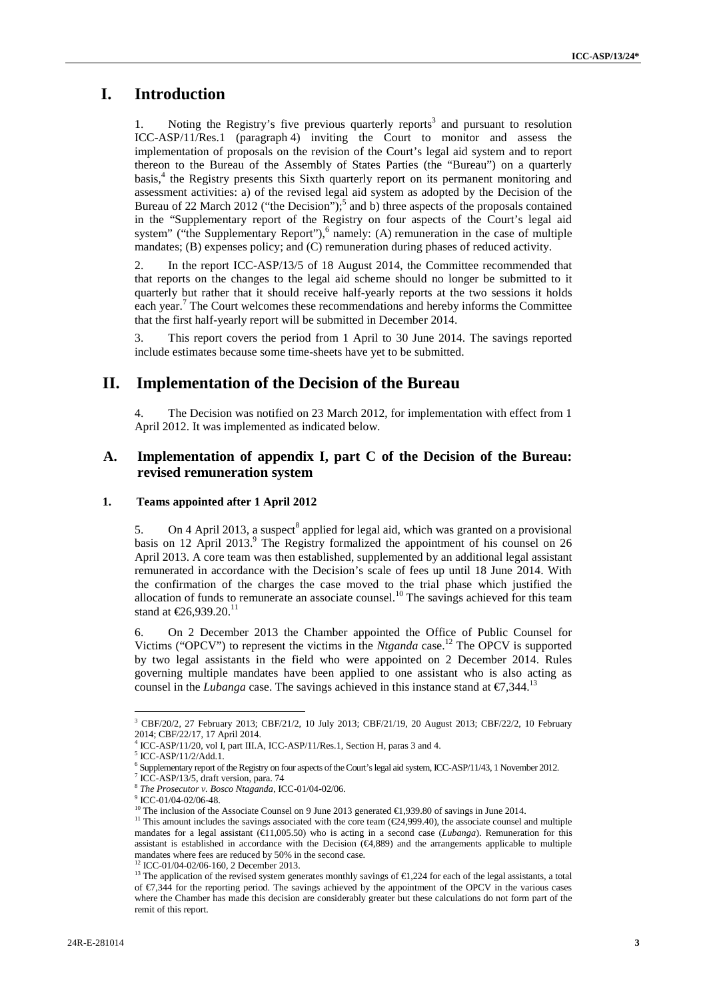# **I. Introduction**

Noting the Registry's five previous quarterly reports<sup>3</sup> and pursuant to resolution ICC-ASP/11/Res.1 (paragraph 4) inviting the Court to monitor and assess the implementation of proposals on the revision of the Court's legal aid system and to report thereon to the Bureau of the Assembly of States Parties (the "Bureau") on a quarterly basis,<sup>4</sup> the Registry presents this Sixth quarterly report on its permanent monitoring and assessment activities: a) of the revised legal aid system as adopted by the Decision of the Bureau of 22 March 2012 ("the Decision");<sup>5</sup> and b) three aspects of the proposals contained in the "Supplementary report of the Registry on four aspects of the Court's legal aid system" ("the Supplementary Report"), $6$  namely: (A) remuneration in the case of multiple mandates; (B) expenses policy; and (C) remuneration during phases of reduced activity.

2. In the report ICC-ASP/13/5 of 18 August 2014, the Committee recommended that that reports on the changes to the legal aid scheme should no longer be submitted to it quarterly but rather that it should receive half-yearly reports at the two sessions it holds each year.<sup>7</sup> The Court welcomes these recommendations and hereby informs the Committee that the first half-yearly report will be submitted in December 2014.

3. This report covers the period from 1 April to 30 June 2014. The savings reported include estimates because some time-sheets have yet to be submitted.

# **II. Implementation of the Decision of the Bureau**

4. The Decision was notified on 23 March 2012, for implementation with effect from 1 April 2012. It was implemented as indicated below.

### **A. Implementation of appendix I, part C of the Decision of the Bureau: revised remuneration system**

#### **1. Teams appointed after 1 April 2012**

5. On 4 April 2013, a suspect<sup>8</sup> applied for legal aid, which was granted on a provisional basis on 12 April 2013.<sup>9</sup> The Registry formalized the appointment of his counsel on 26 April 2013. A core team was then established, supplemented by an additional legal assistant remunerated in accordance with the Decision's scale of fees up until 18 June 2014. With the confirmation of the charges the case moved to the trial phase which justified the allocation of funds to remunerate an associate counsel.<sup>10</sup> The savings achieved for this team stand at  $\text{\textsterling}26,939.20$ .<sup>11</sup>

6. On 2 December 2013 the Chamber appointed the Office of Public Counsel for Victims ("OPCV") to represent the victims in the *Ntganda* case.<sup>12</sup> The OPCV is supported by two legal assistants in the field who were appointed on 2 December 2014. Rules governing multiple mandates have been applied to one assistant who is also acting as counsel in the *Lubanga* case. The savings achieved in this instance stand at  $\epsilon$ 7,344.<sup>1</sup>

<sup>&</sup>lt;sup>3</sup> CBF/20/2, 27 February 2013; CBF/21/2, 10 July 2013; CBF/21/19, 20 August 2013; CBF/22/2, 10 February 2014; CBF/22/17, 17 April 2014.

ICC-ASP/11/20, vol I, part III.A, ICC-ASP/11/Res.1, Section H, paras 3 and 4.

<sup>5</sup> ICC-ASP/11/2/Add.1.

 $^6$  Supplementary report of the Registry on four aspects of the Court's legal aid system, ICC-ASP/11/43, 1 November 2012.  $^7$  ICC-ASP/13/5, draft version, para. 74

<sup>&</sup>lt;sup>8</sup> The Prosecutor v. Bosco Ntaganda, ICC-01/04-02/06.<br><sup>9</sup> ICC-01/04-02/06-48.

<sup>&</sup>lt;sup>10</sup> The inclusion of the Associate Counsel on 9 June 2013 generated  $\in$  9.939.80 of savings in June 2014.<br><sup>11</sup> This amount includes the savings associated with the core team ( $\in$ 24,999.40), the associate counsel and mu mandates for a legal assistant  $(\text{€}1,005.50)$  who is acting in a second case (*Lubanga*). Remuneration for this assistant is established in accordance with the Decision  $(E4,889)$  and the arrangements applicable to multiple mandates where fees are reduced by 50% in the second case. <sup>12</sup> ICC-01/04-02/06-160, 2 December 2013.

<sup>&</sup>lt;sup>13</sup> The application of the revised system generates monthly savings of  $\bigoplus$ , 224 for each of the legal assistants, a total of €7,344 for the reporting period. The savings achieved by the appointment of the OPCV in the various cases where the Chamber has made this decision are considerably greater but these calculations do not form part of the remit of this report.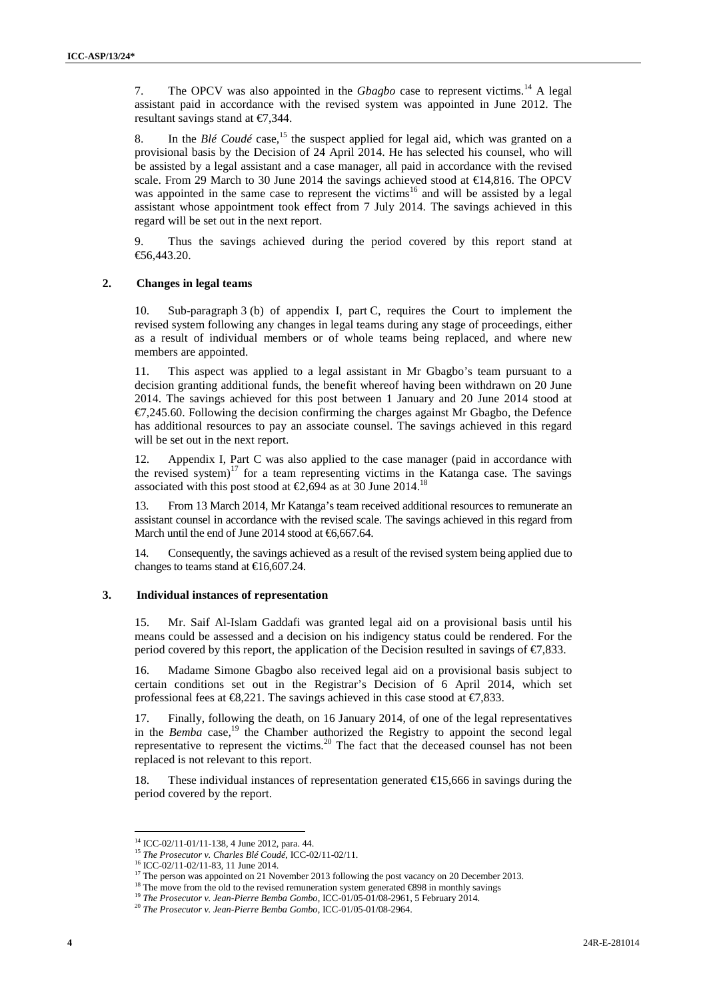7. The OPCV was also appointed in the *Gbagbo* case to represent victims.<sup>14</sup> A legal assistant paid in accordance with the revised system was appointed in June 2012. The resultant savings stand at €7,344.

8. In the  $Bl\acute{e}$  Coudé case,<sup>15</sup> the suspect applied for legal aid, which was granted on a provisional basis by the Decision of 24 April 2014. He has selected his counsel, who will be assisted by a legal assistant and a case manager, all paid in accordance with the revised scale. From 29 March to 30 June 2014 the savings achieved stood at  $\in$  4,816. The OPCV was appointed in the same case to represent the victims<sup>16</sup> and will be assisted by a legal assistant whose appointment took effect from 7 July 2014. The savings achieved in this regard will be set out in the next report.

9. Thus the savings achieved during the period covered by this report stand at €56,443.20.

#### **2. Changes in legal teams**

10. Sub-paragraph 3 (b) of appendix I, part C, requires the Court to implement the revised system following any changes in legal teams during any stage of proceedings, either as a result of individual members or of whole teams being replaced, and where new members are appointed.

11. This aspect was applied to a legal assistant in Mr Gbagbo's team pursuant to a decision granting additional funds, the benefit whereof having been withdrawn on 20 June 2014. The savings achieved for this post between 1 January and 20 June 2014 stood at  $\epsilon$ 7,245.60. Following the decision confirming the charges against Mr Gbagbo, the Defence has additional resources to pay an associate counsel. The savings achieved in this regard will be set out in the next report.

12. Appendix I, Part C was also applied to the case manager (paid in accordance with the revised system)<sup>17</sup> for a team representing victims in the Katanga case. The savings associated with this post stood at  $\text{\textsterling}0,694$  as at 30 June 2014.<sup>18</sup>

13. From 13 March 2014, Mr Katanga's team received additional resources to remunerate an assistant counsel in accordance with the revised scale. The savings achieved in this regard from March until the end of June 2014 stood at  $\epsilon$ 6,667.64.

14. Consequently, the savings achieved as a result of the revised system being applied due to changes to teams stand at  $\text{€16,607,24}.$ 

#### **3. Individual instances of representation**

15. Mr. Saif Al-Islam Gaddafi was granted legal aid on a provisional basis until his means could be assessed and a decision on his indigency status could be rendered. For the period covered by this report, the application of the Decision resulted in savings of €7,833.

16. Madame Simone Gbagbo also received legal aid on a provisional basis subject to certain conditions set out in the Registrar's Decision of 6 April 2014, which set professional fees at  $\Theta$ , 221. The savings achieved in this case stood at  $\Theta$ , 833.

17. Finally, following the death, on 16 January 2014, of one of the legal representatives in the *Bemba* case*,*<sup>19</sup> the Chamber authorized the Registry to appoint the second legal representative to represent the victims.<sup>20</sup> The fact that the deceased counsel has not been replaced is not relevant to this report.

18. These individual instances of representation generated €15,666 in savings during the period covered by the report.

<sup>14</sup> ICC-02/11-01/11-138, 4 June 2012, para. 44.

<sup>15</sup> *The Prosecutor v. Charles Blé Coudé*, ICC-02/11-02/11.

<sup>&</sup>lt;sup>17</sup> The person was appointed on 21 November 2013 following the post vacancy on 20 December 2013.

<sup>&</sup>lt;sup>18</sup> The move from the old to the revised remuneration system generated  $698$  in monthly savings

<sup>&</sup>lt;sup>19</sup> *The Prosecutor v. Jean-Pierre Bemba Gombo*, ICC-01/05-01/08-2961, 5 February 2014.<br><sup>20</sup> *The Prosecutor v. Jean-Pierre Bemba Gombo*, ICC-01/05-01/08-2964.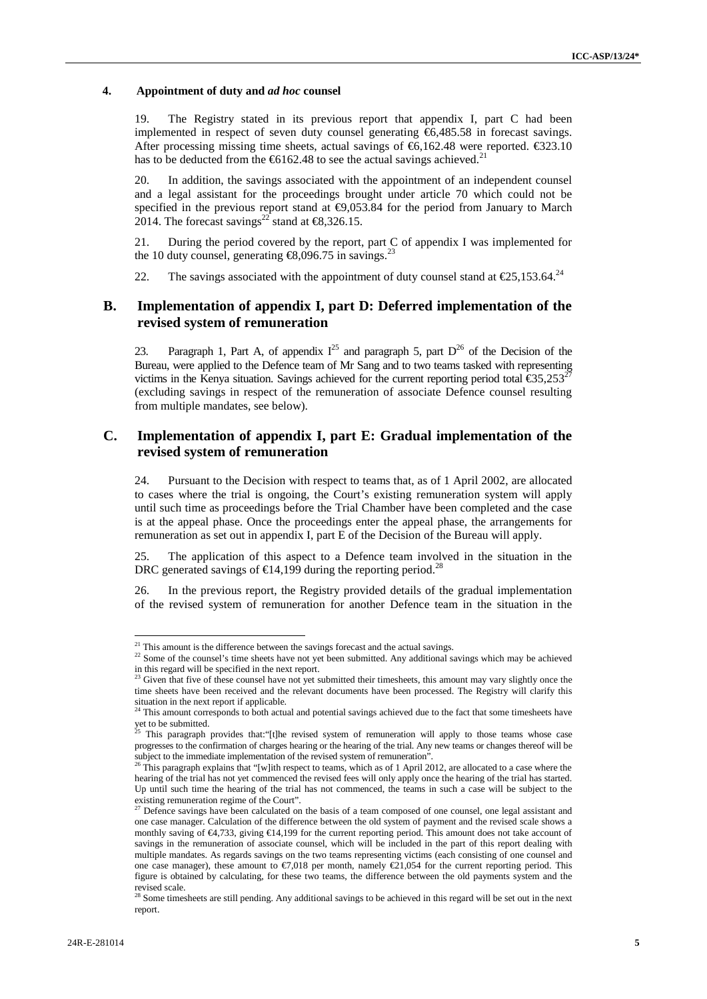### **4. Appointment of duty and** *ad hoc* **counsel**

19. The Registry stated in its previous report that appendix I, part C had been implemented in respect of seven duty counsel generating €6,485.58 in forecast savings. After processing missing time sheets, actual savings of  $\epsilon$ 6,162.48 were reported.  $\epsilon$ 323.10 has to be deducted from the  $66162.48$  to see the actual savings achieved.<sup>21</sup>

20. In addition, the savings associated with the appointment of an independent counsel and a legal assistant for the proceedings brought under article 70 which could not be specified in the previous report stand at  $\Theta$ ,053.84 for the period from January to March 2014. The forecast savings<sup>22</sup> stand at €8,326.15.

21. During the period covered by the report, part C of appendix I was implemented for the 10 duty counsel, generating  $\text{\textsterling}8,096.75$  in savings.<sup>23</sup>

22. The savings associated with the appointment of duty counsel stand at  $\epsilon$ 25,153.64.<sup>24</sup>

### **B. Implementation of appendix I, part D: Deferred implementation of the revised system of remuneration**

23. Paragraph 1, Part A, of appendix  $I^{25}$  and paragraph 5, part  $D^{26}$  of the Decision of the Bureau, were applied to the Defence team of Mr Sang and to two teams tasked with representing victims in the Kenya situation. Savings achieved for the current reporting period total  $\epsilon$ 35,253<sup>27</sup> (excluding savings in respect of the remuneration of associate Defence counsel resulting from multiple mandates, see below).

### **C. Implementation of appendix I, part E: Gradual implementation of the revised system of remuneration**

24. Pursuant to the Decision with respect to teams that, as of 1 April 2002, are allocated to cases where the trial is ongoing, the Court's existing remuneration system will apply until such time as proceedings before the Trial Chamber have been completed and the case is at the appeal phase. Once the proceedings enter the appeal phase, the arrangements for remuneration as set out in appendix I, part E of the Decision of the Bureau will apply.

25. The application of this aspect to a Defence team involved in the situation in the DRC generated savings of  $\in$ 14,199 during the reporting period.<sup>28</sup>

26. In the previous report, the Registry provided details of the gradual implementation of the revised system of remuneration for another Defence team in the situation in the

 $21$  This amount is the difference between the savings forecast and the actual savings.

 $22$  Some of the counsel's time sheets have not yet been submitted. Any additional savings which may be achieved in this regard will be specified in the next report.

Given that five of these counsel have not yet submitted their timesheets, this amount may vary slightly once the time sheets have been received and the relevant documents have been processed. The Registry will clarify this situation in the next report if applicable.<br><sup>24</sup> This smount contract that the situation

This amount corresponds to both actual and potential savings achieved due to the fact that some timesheets have  $\frac{1}{25}$  who untit corresponding to be submitted.

<sup>25</sup> This paragraph provides that:"[t]he revised system of remuneration will apply to those teams whose case progresses to the confirmation of charges hearing or the hearing of the trial. Any new teams or changes thereof will be subject to the immediate implementation of the revised system of remuneration".

 $\frac{26}{10}$  This paragraph explains that "[w]ith respect to teams, which as of 1 April 2012, are allocated to a case where the hearing of the trial has not yet commenced the revised fees will only apply once the hearing of the trial has started. Up until such time the hearing of the trial has not commenced, the teams in such a case will be subject to the

existing remuneration regime of the Court".<br><sup>27</sup> Defence savings have been calculated on the basis of a team composed of one counsel, one legal assistant and one case manager. Calculation of the difference between the old system of payment and the revised scale shows a monthly saving of €4,733, giving €14,199 for the current reporting period. This amount does not take account of savings in the remuneration of associate counsel, which will be included in the part of this report dealing with multiple mandates. As regards savings on the two teams representing victims (each consisting of one counsel and one case manager), these amount to  $\epsilon$ 7,018 per month, namely  $\epsilon$ 21,054 for the current reporting period. This figure is obtained by calculating, for these two teams, the difference between the old payments system and the revised scale.

 $28$  Some timesheets are still pending. Any additional savings to be achieved in this regard will be set out in the next report.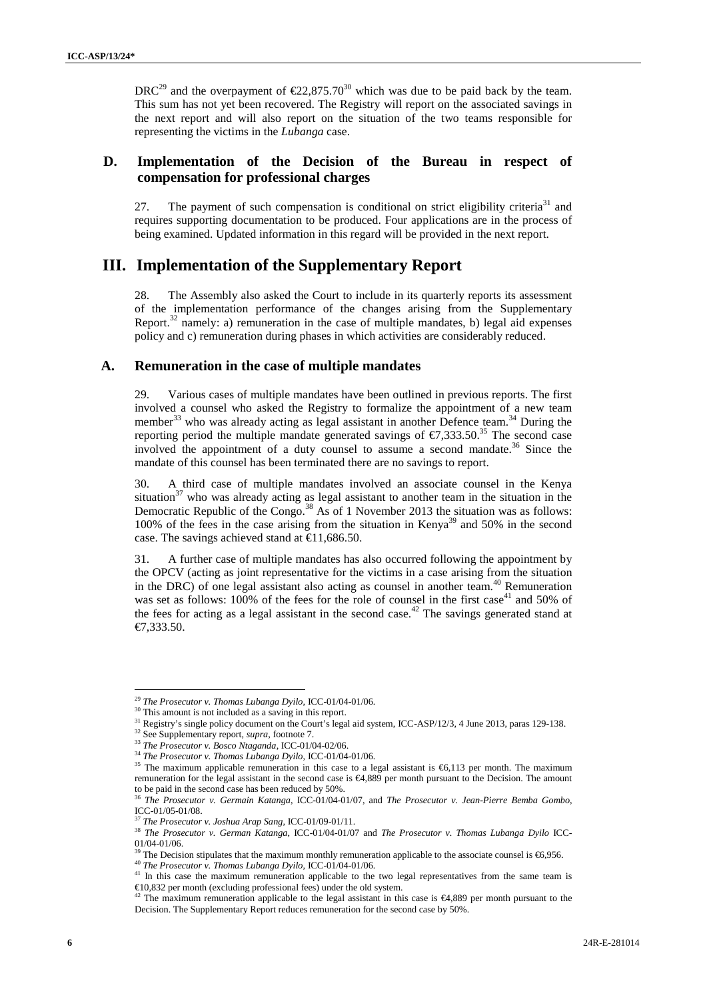DRC<sup>29</sup> and the overpayment of  $\epsilon$ 22,875.70<sup>30</sup> which was due to be paid back by the team. This sum has not yet been recovered. The Registry will report on the associated savings in the next report and will also report on the situation of the two teams responsible for representing the victims in the *Lubanga* case.

### **D. Implementation of the Decision of the Bureau in respect of compensation for professional charges**

27. The payment of such compensation is conditional on strict eligibility criteria<sup>31</sup> and requires supporting documentation to be produced. Four applications are in the process of being examined. Updated information in this regard will be provided in the next report.

## **III. Implementation of the Supplementary Report**

28. The Assembly also asked the Court to include in its quarterly reports its assessment of the implementation performance of the changes arising from the Supplementary Report.<sup>32</sup> namely: a) remuneration in the case of multiple mandates, b) legal aid expenses policy and c) remuneration during phases in which activities are considerably reduced.

### **A. Remuneration in the case of multiple mandates**

29. Various cases of multiple mandates have been outlined in previous reports. The first involved a counsel who asked the Registry to formalize the appointment of a new team member<sup>33</sup> who was already acting as legal assistant in another Defence team.<sup>34</sup> During the reporting period the multiple mandate generated savings of  $\epsilon$ 7,333.50.<sup>35</sup> The second case involved the appointment of a duty counsel to assume a second mandate.<sup>36</sup> Since the mandate of this counsel has been terminated there are no savings to report.

30. A third case of multiple mandates involved an associate counsel in the Kenya situation<sup>37</sup> who was already acting as legal assistant to another team in the situation in the Democratic Republic of the Congo.<sup>38</sup> As of 1 November 2013 the situation was as follows: 100% of the fees in the case arising from the situation in Kenya<sup>39</sup> and 50% in the second case. The savings achieved stand at  $\in$  1,686.50.

31. A further case of multiple mandates has also occurred following the appointment by the OPCV (acting as joint representative for the victims in a case arising from the situation in the DRC) of one legal assistant also acting as counsel in another team.<sup>40</sup> Remuneration was set as follows: 100% of the fees for the role of counsel in the first case<sup>41</sup> and 50% of the fees for acting as a legal assistant in the second case.<sup>42</sup> The savings generated stand at €7,333.50.

<sup>&</sup>lt;sup>29</sup> *The Prosecutor v. Thomas Lubanga Dyilo, ICC-01/04-01/06.* <sup>30</sup> This amount is not included as a saving in this report.

<sup>&</sup>lt;sup>31</sup> Registry's single policy document on the Court's legal aid system, ICC-ASP/12/3, 4 June 2013, paras 129-138.<br><sup>32</sup> See Supplementary report, *supra*, footnote 7.<br><sup>32</sup> See Supplementary report, *supra*, footnote 7.<br><sup>33</sup>

<sup>34</sup> *The Prosecutor v. Thomas Lubanga Dyilo*, ICC-01/04-01/06.

<sup>&</sup>lt;sup>35</sup> The maximum applicable remuneration in this case to a legal assistant is €6,113 per month. The maximum remuneration for the legal assistant in the second case is €4,889 per month pursuant to the Decision. The amount to be paid in the second case has been reduced by 50%.

<sup>36</sup> *The Prosecutor v. Germain Katanga*, ICC-01/04-01/07, and *The Prosecutor v. Jean-Pierre Bemba Gombo*, ICC-01/05-01/08.

<sup>37</sup> *The Prosecutor v. Joshua Arap Sang*, ICC-01/09-01/11.

<sup>38</sup> *The Prosecutor v. German Katanga*, ICC-01/04-01/07 and *The Prosecutor v. Thomas Lubanga Dyilo* ICC- 01/04-01/06.<br><sup>39</sup> The Decision stipulates that the maximum monthly remuneration applicable to the associate counsel is  $\epsilon$ 6,956.

<sup>&</sup>lt;sup>40</sup>The Prosecutor v. Thomas Lubanga Dyilo, ICC-01/04-01/06.<br><sup>41</sup> In this case the maximum remuneration applicable to the two legal representatives from the same team is €10,832 per month (excluding professional fees) under the old system. <sup>42</sup> The maximum remuneration applicable to the legal assistant in this case is €4,889 per month pursuant to the

Decision. The Supplementary Report reduces remuneration for the second case by 50%.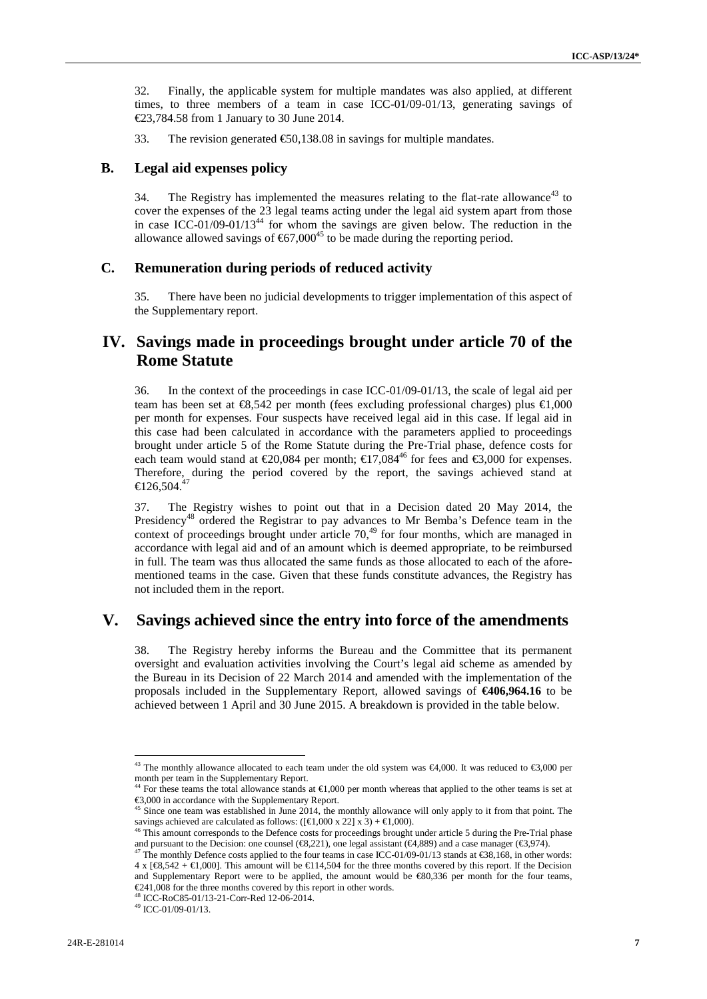32. Finally, the applicable system for multiple mandates was also applied, at different times, to three members of a team in case ICC-01/09-01/13, generating savings of €23,784.58 from 1 January to 30 June 2014.

33. The revision generated  $\epsilon$ 50,138.08 in savings for multiple mandates.

#### **B. Legal aid expenses policy**

34. The Registry has implemented the measures relating to the flat-rate allowance<sup>43</sup> to cover the expenses of the 23 legal teams acting under the legal aid system apart from those in case ICC-01/09-01/13<sup>44</sup> for whom the savings are given below. The reduction in the allowance allowed savings of  $67,000^{45}$  to be made during the reporting period.

### **C. Remuneration during periods of reduced activity**

35. There have been no judicial developments to trigger implementation of this aspect of the Supplementary report.

# **IV. Savings made in proceedings brought under article 70 of the Rome Statute**

36. In the context of the proceedings in case ICC-01/09-01/13, the scale of legal aid per team has been set at €8,542 per month (fees excluding professional charges) plus €1,000 per month for expenses. Four suspects have received legal aid in this case. If legal aid in this case had been calculated in accordance with the parameters applied to proceedings brought under article 5 of the Rome Statute during the Pre-Trial phase, defence costs for each team would stand at  $\epsilon 20,084$  per month;  $\epsilon 17,084^{46}$  for fees and  $\epsilon 3,000$  for expenses. Therefore, during the period covered by the report, the savings achieved stand at  $\text{ } \infty 26,504.^{47}$ 

37. The Registry wishes to point out that in a Decision dated 20 May 2014, the Presidency<sup>48</sup> ordered the Registrar to pay advances to Mr Bemba's Defence team in the context of proceedings brought under article  $70<sup>49</sup>$  for four months, which are managed in accordance with legal aid and of an amount which is deemed appropriate, to be reimbursed in full. The team was thus allocated the same funds as those allocated to each of the afore mentioned teams in the case. Given that these funds constitute advances, the Registry has not included them in the report.

# **V. Savings achieved since the entry into force of the amendments**

38. The Registry hereby informs the Bureau and the Committee that its permanent oversight and evaluation activities involving the Court's legal aid scheme as amended by the Bureau in its Decision of 22 March 2014 and amended with the implementation of the proposals included in the Supplementary Report, allowed savings of **€406,964.16** to be achieved between 1 April and 30 June 2015. A breakdown is provided in the table below.

<sup>&</sup>lt;sup>43</sup> The monthly allowance allocated to each team under the old system was  $\epsilon 4,000$ . It was reduced to  $\epsilon 3,000$  per month per team in the Supplementary Report.

<sup>&</sup>lt;sup>44</sup> For these teams the total allowance stands at  $\bigoplus$ ,000 per month whereas that applied to the other teams is set at  $\bigoplus$ ,000 in accordance with the Supplementary Report.

<sup>&</sup>lt;sup>45</sup> Since one team was established in June 2014, the monthly allowance will only apply to it from that point. The savings achieved are calculated as follows: ( $[\text{€}1,000 \times 22] \times 3$ ) +  $\text{€}1,000$ ).

This amount corresponds to the Defence costs for proceedings brought under article 5 during the Pre-Trial phase and pursuant to the Decision: one counsel ( $\infty$ 321), one legal assistant ( $\infty$ 4,889) and a case manager ( $\infty$ 3,974). <sup>47</sup> The monthly Defence costs applied to the four teams in case ICC-01/09-01/13 stands at  $\infty$ 8,168

 $4 \times$  [ $\bigoplus$ ,542 +  $\bigoplus$ ,000]. This amount will be  $\bigoplus$  14,504 for the three months covered by this report. If the Decision and Supplementary Report were to be applied, the amount would be €80,336 per month for the four teams, €241,008 for the three months covered by this report in other words.  $48$  ICC-RoC85-01/13-21-Corr-Red 12-06-2014.  $49$  ICC-01/09-01/13.